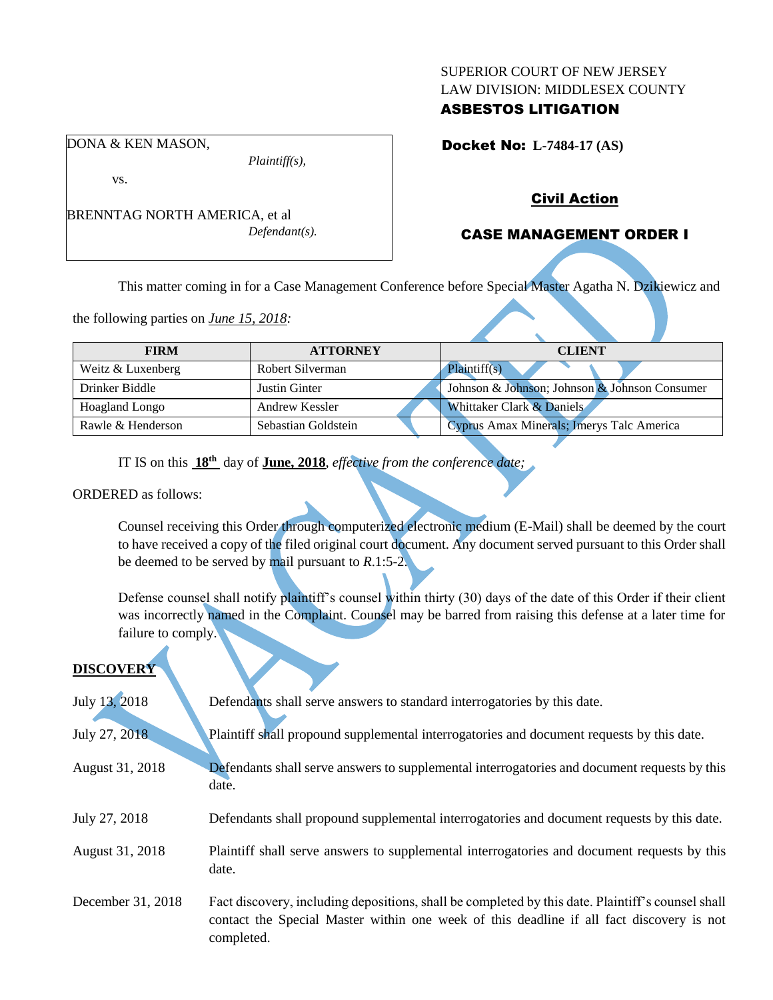#### SUPERIOR COURT OF NEW JERSEY LAW DIVISION: MIDDLESEX COUNTY

## ASBESTOS LITIGATION

Docket No: **L-7484-17 (AS)** 

vs.

DONA & KEN MASON,

BRENNTAG NORTH AMERICA, et al *Defendant(s).*

*Plaintiff(s),*

## Civil Action

## CASE MANAGEMENT ORDER I

This matter coming in for a Case Management Conference before Special Master Agatha N. Dzikiewicz and

the following parties on *June 15, 2018:*

| <b>FIRM</b>       | <b>ATTORNEY</b>     | <b>CLIENT</b>                                 |
|-------------------|---------------------|-----------------------------------------------|
|                   |                     |                                               |
| Weitz & Luxenberg | Robert Silverman    | Plaintiff(s)                                  |
| Drinker Biddle    | Justin Ginter       | Johnson & Johnson; Johnson & Johnson Consumer |
| Hoagland Longo    | Andrew Kessler      | Whittaker Clark & Daniels                     |
| Rawle & Henderson | Sebastian Goldstein | Cyprus Amax Minerals; Imerys Talc America     |

IT IS on this **18th** day of **June, 2018**, *effective from the conference date;*

ORDERED as follows:

Counsel receiving this Order through computerized electronic medium (E-Mail) shall be deemed by the court to have received a copy of the filed original court document. Any document served pursuant to this Order shall be deemed to be served by mail pursuant to *R*.1:5-2.

Defense counsel shall notify plaintiff's counsel within thirty (30) days of the date of this Order if their client was incorrectly named in the Complaint. Counsel may be barred from raising this defense at a later time for failure to comply.

## **DISCOVERY**

| July 13, 2018     | Defendants shall serve answers to standard interrogatories by this date.                                                                                                                                    |
|-------------------|-------------------------------------------------------------------------------------------------------------------------------------------------------------------------------------------------------------|
| July 27, 2018     | Plaintiff shall propound supplemental interrogatories and document requests by this date.                                                                                                                   |
| August 31, 2018   | Defendants shall serve answers to supplemental interrogatories and document requests by this<br>date.                                                                                                       |
| July 27, 2018     | Defendants shall propound supplemental interrogatories and document requests by this date.                                                                                                                  |
| August 31, 2018   | Plaintiff shall serve answers to supplemental interrogatories and document requests by this<br>date.                                                                                                        |
| December 31, 2018 | Fact discovery, including depositions, shall be completed by this date. Plaintiff's counsel shall<br>contact the Special Master within one week of this deadline if all fact discovery is not<br>completed. |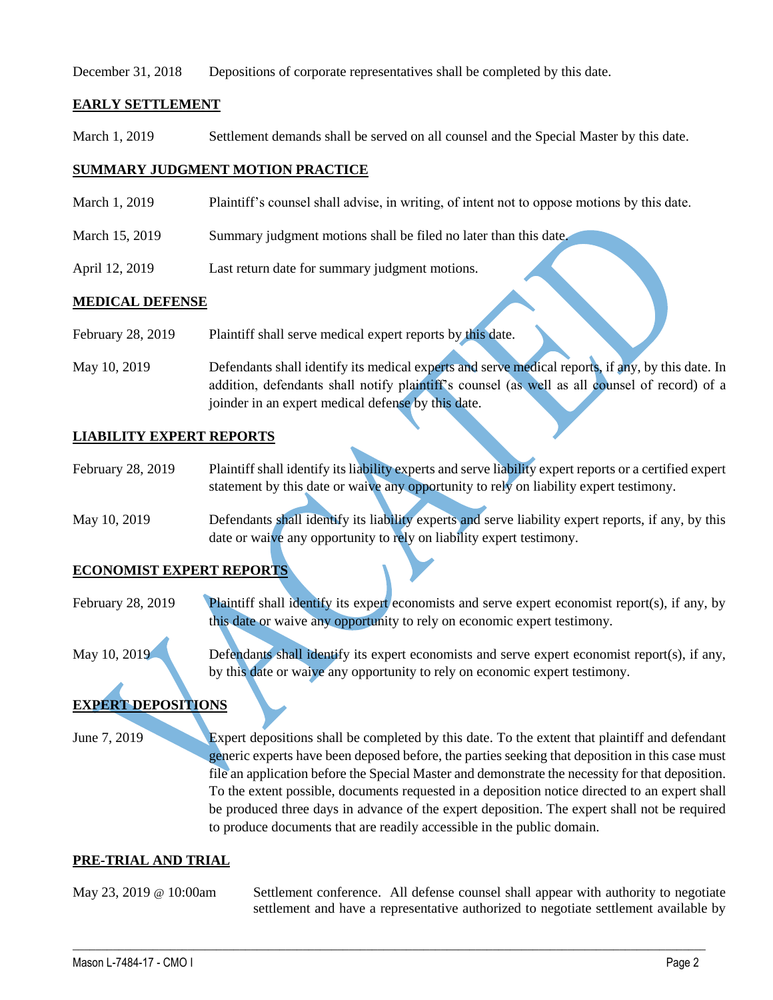December 31, 2018 Depositions of corporate representatives shall be completed by this date.

### **EARLY SETTLEMENT**

March 1, 2019 Settlement demands shall be served on all counsel and the Special Master by this date.

### **SUMMARY JUDGMENT MOTION PRACTICE**

- March 1, 2019 Plaintiff's counsel shall advise, in writing, of intent not to oppose motions by this date.
- March 15, 2019 Summary judgment motions shall be filed no later than this date.
- April 12, 2019 Last return date for summary judgment motions.

#### **MEDICAL DEFENSE**

- February 28, 2019 Plaintiff shall serve medical expert reports by this date.
- May 10, 2019 Defendants shall identify its medical experts and serve medical reports, if any, by this date. In addition, defendants shall notify plaintiff's counsel (as well as all counsel of record) of a joinder in an expert medical defense by this date.

#### **LIABILITY EXPERT REPORTS**

- February 28, 2019 Plaintiff shall identify its liability experts and serve liability expert reports or a certified expert statement by this date or waive any opportunity to rely on liability expert testimony.
- May 10, 2019 Defendants shall identify its liability experts and serve liability expert reports, if any, by this date or waive any opportunity to rely on liability expert testimony.

#### **ECONOMIST EXPERT REPORTS**

February 28, 2019 Plaintiff shall identify its expert economists and serve expert economist report(s), if any, by this date or waive any opportunity to rely on economic expert testimony.

 $\_$  ,  $\_$  ,  $\_$  ,  $\_$  ,  $\_$  ,  $\_$  ,  $\_$  ,  $\_$  ,  $\_$  ,  $\_$  ,  $\_$  ,  $\_$  ,  $\_$  ,  $\_$  ,  $\_$  ,  $\_$  ,  $\_$  ,  $\_$  ,  $\_$  ,  $\_$  ,  $\_$  ,  $\_$  ,  $\_$  ,  $\_$  ,  $\_$  ,  $\_$  ,  $\_$  ,  $\_$  ,  $\_$  ,  $\_$  ,  $\_$  ,  $\_$  ,  $\_$  ,  $\_$  ,  $\_$  ,  $\_$  ,  $\_$  ,

May 10, 2019 Defendants shall identify its expert economists and serve expert economist report(s), if any, by this date or waive any opportunity to rely on economic expert testimony.

# **EXPERT DEPOSITIONS**

June 7, 2019 Expert depositions shall be completed by this date. To the extent that plaintiff and defendant generic experts have been deposed before, the parties seeking that deposition in this case must file an application before the Special Master and demonstrate the necessity for that deposition. To the extent possible, documents requested in a deposition notice directed to an expert shall be produced three days in advance of the expert deposition. The expert shall not be required to produce documents that are readily accessible in the public domain.

#### **PRE-TRIAL AND TRIAL**

May 23, 2019 @ 10:00am Settlement conference. All defense counsel shall appear with authority to negotiate settlement and have a representative authorized to negotiate settlement available by